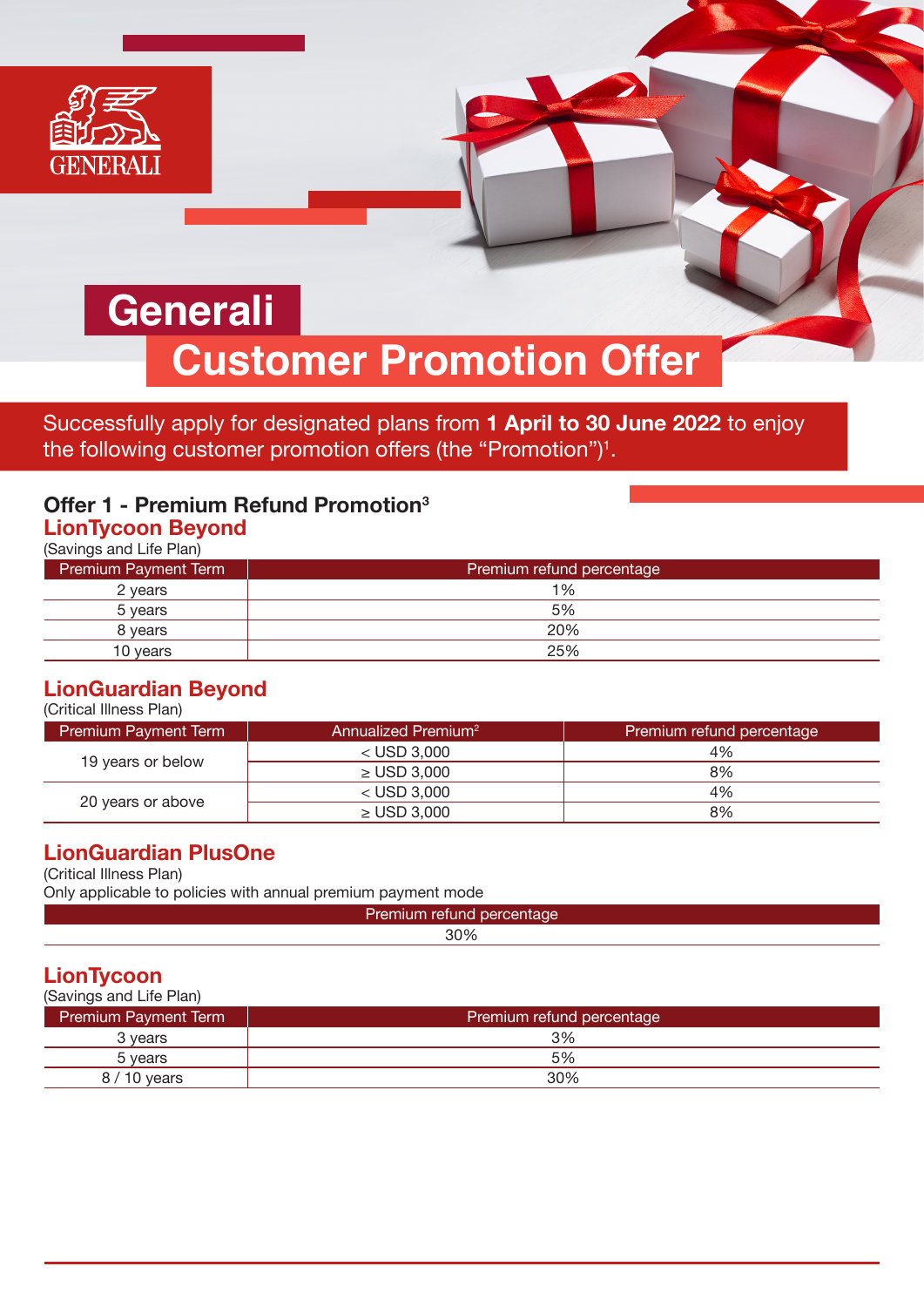

Successfully apply for designated plans from **1 April to 30 June 2022** to enjoy the following customer promotion offers (the "Promotion") $^{\rm 1}.$ 

# **Offer 1 - Premium Refund Promotion3**

## **LionTycoon Beyond**

(Savings and Life Plan)

| <b>Premium Payment Term</b> | Premium refund percentage |
|-----------------------------|---------------------------|
| 2 years                     | 1%                        |
| 5 years                     | 5%                        |
| 8 years                     | 20%                       |
| 10 years                    | 25%                       |

#### **LionGuardian Beyond**  $(C<sub>u</sub>:<sub>t</sub>:<sub>0</sub>]<sub>0</sub>$  Illness  $D<sub>0</sub>$

| ורוטונוטםו ווווופגג רוםוון  |                                 |                           |
|-----------------------------|---------------------------------|---------------------------|
| <b>Premium Payment Term</b> | Annualized Premium <sup>2</sup> | Premium refund percentage |
| 19 years or below           | $<$ USD 3.000                   | 4%                        |
|                             | $\geq$ USD 3.000                | 8%                        |
| 20 years or above           | $<$ USD 3.000                   | 4%                        |
|                             | $\geq$ USD 3,000                | 8%                        |

### **LionGuardian PlusOne**

(Critical Illness Plan)

Only applicable to policies with annual premium payment mode

| $\mathbf{1}_{\mathbf{1}}$<br>ınc<br><b>Zremiuny</b> |  |
|-----------------------------------------------------|--|
| 200 <sub>6</sub>                                    |  |
|                                                     |  |

## **LionTycoon**

| (Savings and Life Plan)     |                           |
|-----------------------------|---------------------------|
| <b>Premium Payment Term</b> | Premium refund percentage |
| 3 vears                     | 3%                        |
| 5 years                     | 5%                        |
| $8/10$ years                | 30%                       |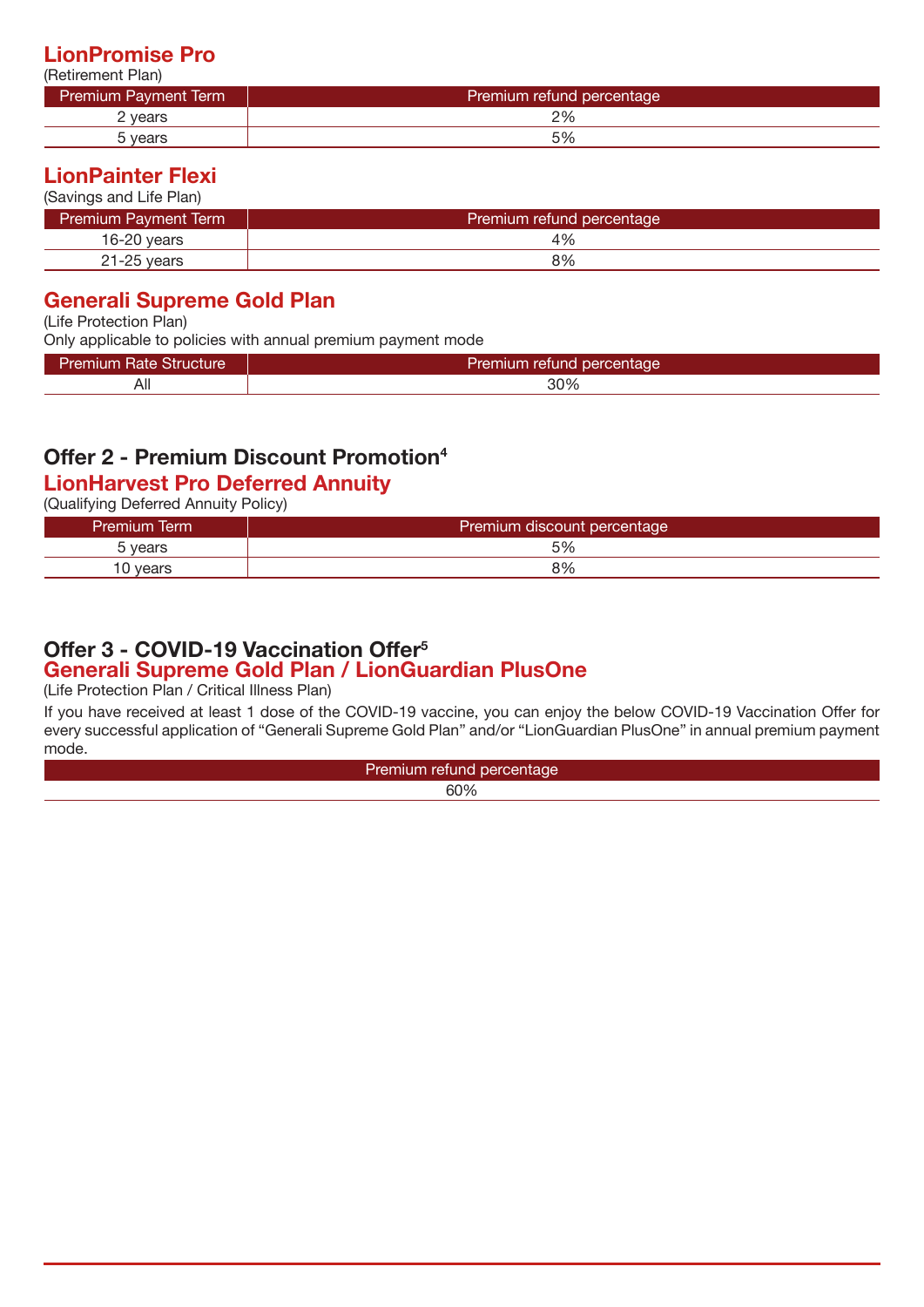### **LionPromise Pro**

| (Retirement Plan)           |                           |
|-----------------------------|---------------------------|
| <b>Premium Payment Term</b> | Premium refund percentage |
| 2 years                     | 2%                        |
| 5 years                     | 5%                        |

## **LionPainter Flexi**

(Savings and Life Plan)

| <b>Premium Payment Term</b> | Premium refund percentage |
|-----------------------------|---------------------------|
| 16-20 years                 | 4%                        |
| $21 - 25$ vears             | 8%                        |

## **Generali Supreme Gold Plan**

(Life Protection Plan)

Only applicable to policies with annual premium payment mode

| Premıum<br>Rate<br>uciure,<br>ווס י | Premium<br>i refund percentage |
|-------------------------------------|--------------------------------|
| AI.                                 | 30%                            |

## **Offer 2 - Premium Discount Promotion4**

## **LionHarvest Pro Deferred Annuity**

(Qualifying Deferred Annuity Policy)

| <b>Premium Term</b> | Premium discount percentage |
|---------------------|-----------------------------|
| vears               | 5%                          |
| 10 vears            | 8%                          |

### **Generali Supreme Gold Plan / LionGuardian PlusOne Offer 3 - COVID-19 Vaccination Offer5**

(Life Protection Plan / Critical Illness Plan)

If you have received at least 1 dose of the COVID-19 vaccine, you can enjoy the below COVID-19 Vaccination Offer for every successful application of "Generali Supreme Gold Plan" and/or "LionGuardian PlusOne" in annual premium payment mode.

| $\sim$ |
|--------|
|        |